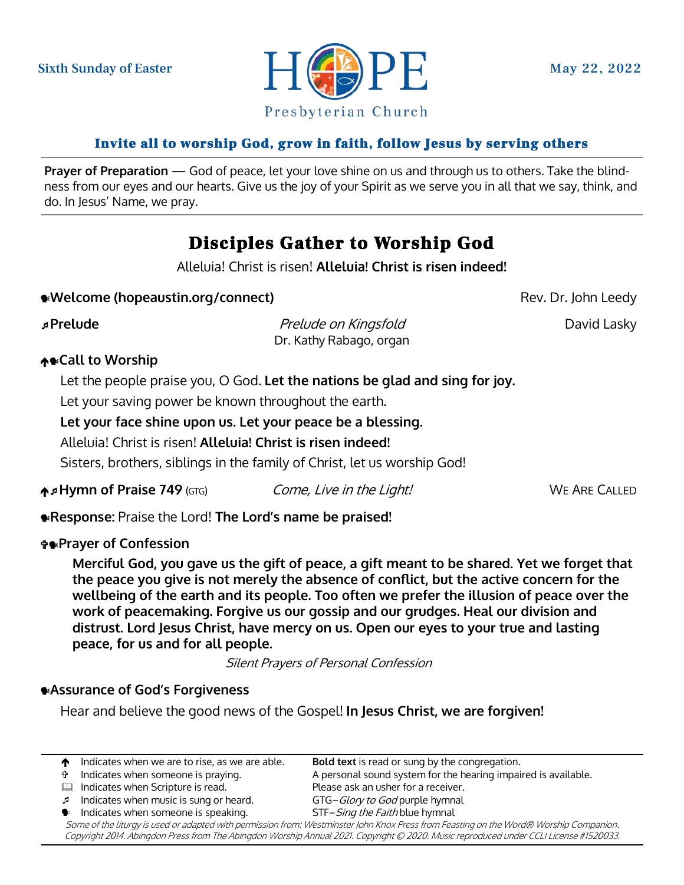

## Invite all to worship God, grow in faith, follow Jesus by serving others

**Prayer of Preparation** — God of peace, let your love shine on us and through us to others. Take the blindness from our eyes and our hearts. Give us the joy of your Spirit as we serve you in all that we say, think, and do. In Jesus' Name, we pray.

# Disciples Gather to Worship God

Alleluia! Christ is risen! **Alleluia! Christ is risen indeed!**

**Welcome (hopeaustin.org/connect)** and the settlement of the Rev. Dr. John Leedy

**Prelude** Prelude on Kingsfold David Lasky Dr. Kathy Rabago, organ

## **↑●Call to Worship**

Let the people praise you, O God. **Let the nations be glad and sing for joy.**

Let your saving power be known throughout the earth.

**Let your face shine upon us. Let your peace be a blessing.**

Alleluia! Christ is risen! **Alleluia! Christ is risen indeed!**

Sisters, brothers, siblings in the family of Christ, let us worship God!

| ↑ Hymn of Praise 749 (GTG) | Come, Live in the Light! | <b>WE ARE CALLED</b> |
|----------------------------|--------------------------|----------------------|
|                            |                          |                      |

**Response:** Praise the Lord! **The Lord's name be praised!**

## **Prayer of Confession**

**Merciful God, you gave us the gift of peace, a gift meant to be shared. Yet we forget that the peace you give is not merely the absence of conflict, but the active concern for the wellbeing of the earth and its people. Too often we prefer the illusion of peace over the work of peacemaking. Forgive us our gossip and our grudges. Heal our division and distrust. Lord Jesus Christ, have mercy on us. Open our eyes to your true and lasting peace, for us and for all people.** 

Silent Prayers of Personal Confession

## **Assurance of God's Forgiveness**

Hear and believe the good news of the Gospel! **In Jesus Christ, we are forgiven!**

| $\uparrow$ Indicates when we are to rise, as we are able. | <b>Bold text</b> is read or sung by the congregation.          |
|-----------------------------------------------------------|----------------------------------------------------------------|
| $\mathbf{\hat{v}}$ Indicates when someone is praying.     | A personal sound system for the hearing impaired is available. |
| $\Box$ Indicates when Scripture is read.                  | Please ask an usher for a receiver.                            |
| <b>E</b> Indicates when music is sung or heard.           | GTG-Glory to God purple hymnal                                 |

 $\bullet$  Indicates when someone is speaking. STF–Sing the Faith blue hymnal Some of the liturgy is used or adapted with permission from: Westminster John Knox Press from Feasting on the Word® Worship Companion. Copyright 2014. Abingdon Press from The Abingdon Worship Annual 2021. Copyright © 2020. Music reproduced under CCLI License #1520033.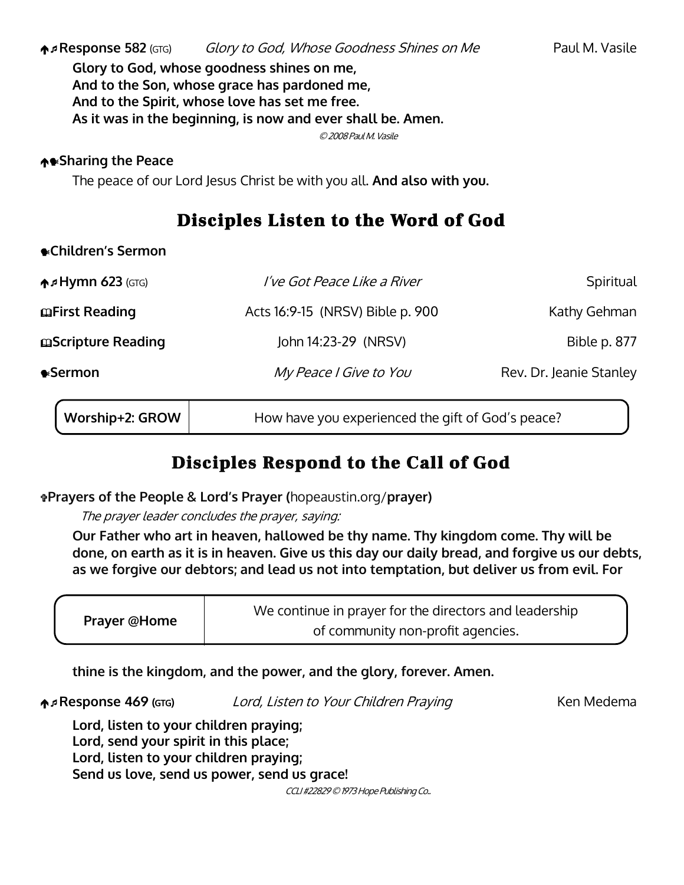**Glory to God, whose goodness shines on me, And to the Son, whose grace has pardoned me, And to the Spirit, whose love has set me free. As it was in the beginning, is now and ever shall be. Amen.** © 2008 Paul M. Vasile

#### **Sharing the Peace**

The peace of our Lord Jesus Christ be with you all. **And also with you.** 

## Disciples Listen to the Word of God

#### **Children's Sermon**

| $\triangle$ Sermon         | My Peace I Give to You           | Rev. Dr. Jeanie Stanley |
|----------------------------|----------------------------------|-------------------------|
| mScripture Reading         | John 14:23-29 (NRSV)             | Bible p. 877            |
| meters Reading             | Acts 16:9-15 (NRSV) Bible p. 900 | Kathy Gehman            |
| $\bigwedge$ Hymn 623 (GTG) | I've Got Peace Like a River      | Spiritual               |

| Worship+2: GROW | How have you experienced the gift of God's peace? |
|-----------------|---------------------------------------------------|
|-----------------|---------------------------------------------------|

## Disciples Respond to the Call of God

**Prayers of the People & Lord's Prayer (**hopeaustin.org/**prayer)**

The prayer leader concludes the prayer, saying:

**Our Father who art in heaven, hallowed be thy name. Thy kingdom come. Thy will be done, on earth as it is in heaven. Give us this day our daily bread, and forgive us our debts, as we forgive our debtors; and lead us not into temptation, but deliver us from evil. For** 

| <b>Prayer @Home</b> | We continue in prayer for the directors and leadership |  |
|---------------------|--------------------------------------------------------|--|
|                     | of community non-profit agencies.                      |  |

**thine is the kingdom, and the power, and the glory, forever. Amen.**

**A Response 469** (GTG) Lord, Listen to Your Children Praying Ken Medema

**Lord, listen to your children praying; Lord, send your spirit in this place; Lord, listen to your children praying; Send us love, send us power, send us grace!** 

CCLI #22829 © 1973 Hope Publishing Co..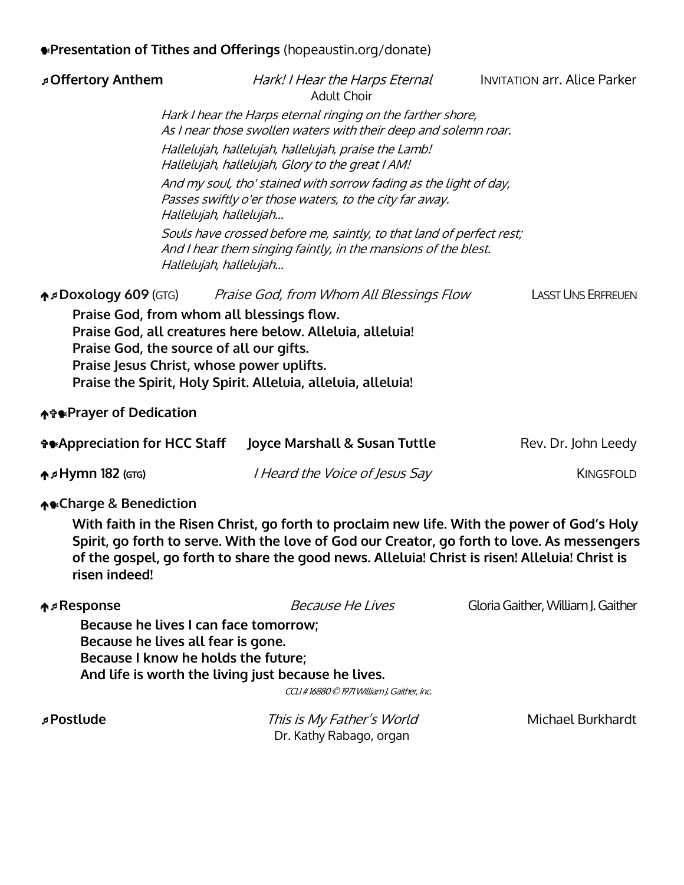### **Presentation of Tithes and Offerings** (hopeaustin.org/donate)

| <b>Offertory Anthem</b>                                                                                                            | Hark! I Hear the Harps Eternal<br><b>Adult Choir</b>                                                                                                                                                 | <b>INVITATION arr. Alice Parker</b> |
|------------------------------------------------------------------------------------------------------------------------------------|------------------------------------------------------------------------------------------------------------------------------------------------------------------------------------------------------|-------------------------------------|
|                                                                                                                                    | Hark I hear the Harps eternal ringing on the farther shore,<br>As I near those swollen waters with their deep and solemn roar.                                                                       |                                     |
|                                                                                                                                    | Hallelujah, hallelujah, hallelujah, praise the Lamb!<br>Hallelujah, hallelujah, Glory to the great I AM!                                                                                             |                                     |
|                                                                                                                                    | And my soul, tho' stained with sorrow fading as the light of day,<br>Passes swiftly o'er those waters, to the city far away.<br>Hallelujah, hallelujah                                               |                                     |
|                                                                                                                                    | Souls have crossed before me, saintly, to that land of perfect rest;<br>And I hear them singing faintly, in the mansions of the blest.<br>Hallelujah, hallelujah                                     |                                     |
| Praise God, from whom all blessings flow.<br>Praise God, the source of all our gifts.<br>Praise Jesus Christ, whose power uplifts. | <b>A.ª Doxology 609</b> (GTG) Praise God, from Whom All Blessings Flow<br>Praise God, all creatures here below. Alleluia, alleluia!<br>Praise the Spirit, Holy Spirit. Alleluia, alleluia, alleluia! | <b>LASST UNS ERFREUEN</b>           |
| ↑ <b>+</b> Prayer of Dedication                                                                                                    |                                                                                                                                                                                                      |                                     |
| † * Appreciation for HCC Staff                                                                                                     | <b>Joyce Marshall &amp; Susan Tuttle</b>                                                                                                                                                             | Rev. Dr. John Leedy                 |
| $\bigwedge$ s Hymn 182 (GTG)                                                                                                       | I Heard the Voice of Jesus Say                                                                                                                                                                       | <b>KINGSFOLD</b>                    |
| ↑ Charge & Benediction                                                                                                             |                                                                                                                                                                                                      |                                     |

**With faith in the Risen Christ, go forth to proclaim new life. With the power of God's Holy Spirit, go forth to serve. With the love of God our Creator, go forth to love. As messengers of the gospel, go forth to share the good news. Alleluia! Christ is risen! Alleluia! Christ is risen indeed!** 

| <b>A</b> <sub>s</sub> Response     | <b>Because He Lives</b>                             | Gloria Gaither, William J. Gaither |
|------------------------------------|-----------------------------------------------------|------------------------------------|
|                                    | Because he lives I can face tomorrow;               |                                    |
| Because he lives all fear is gone. |                                                     |                                    |
|                                    | Because I know he holds the future;                 |                                    |
|                                    | And life is worth the living just because he lives. |                                    |
|                                    | CCLI #16880 © 1971 William J. Gaither, Inc.         |                                    |
| <b>Postlude</b>                    | This is My Father's World                           | Michael Burkhardt                  |
|                                    | Dr. Kathy Rabago, organ                             |                                    |